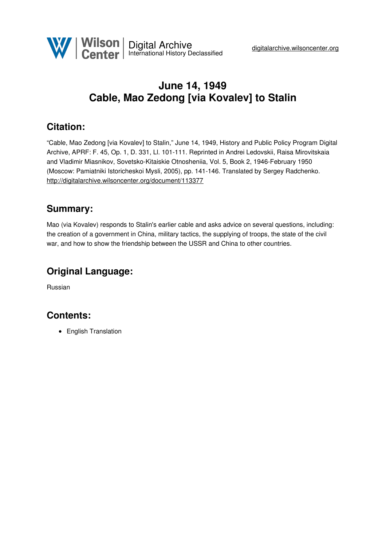

# **June 14, 1949 Cable, Mao Zedong [via Kovalev] to Stalin**

### **Citation:**

"Cable, Mao Zedong [via Kovalev] to Stalin," June 14, 1949, History and Public Policy Program Digital Archive, APRF: F. 45, Op. 1, D. 331, Ll. 101-111. Reprinted in Andrei Ledovskii, Raisa Mirovitskaia and Vladimir Miasnikov, Sovetsko-Kitaiskie Otnosheniia, Vol. 5, Book 2, 1946-February 1950 (Moscow: Pamiatniki Istoricheskoi Mysli, 2005), pp. 141-146. Translated by Sergey Radchenko. <http://digitalarchive.wilsoncenter.org/document/113377>

#### **Summary:**

Mao (via Kovalev) responds to Stalin's earlier cable and asks advice on several questions, including: the creation of a government in China, military tactics, the supplying of troops, the state of the civil war, and how to show the friendship between the USSR and China to other countries.

#### **Original Language:**

Russian

## **Contents:**

• English Translation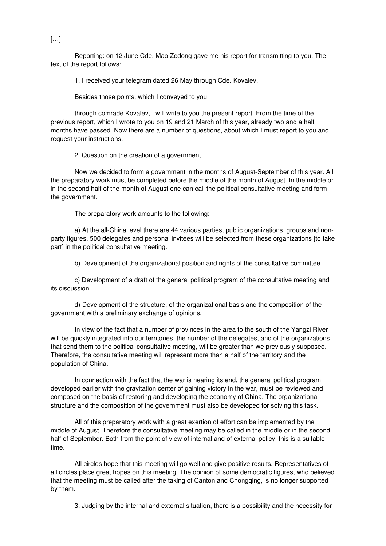Reporting: on 12 June Cde. Mao Zedong gave me his report for transmitting to you. The text of the report follows:

1. I received your telegram dated 26 May through Cde. Kovalev.

Besides those points, which I conveyed to you

through comrade Kovalev, I will write to you the present report. From the time of the previous report, which I wrote to you on 19 and 21 March of this year, already two and a half months have passed. Now there are a number of questions, about which I must report to you and request your instructions.

2. Question on the creation of a government.

Now we decided to form a government in the months of August-September of this year. All the preparatory work must be completed before the middle of the month of August. In the middle or in the second half of the month of August one can call the political consultative meeting and form the government.

The preparatory work amounts to the following:

a) At the all-China level there are 44 various parties, public organizations, groups and nonparty figures. 500 delegates and personal invitees will be selected from these organizations [to take part] in the political consultative meeting.

b) Development of the organizational position and rights of the consultative committee.

c) Development of a draft of the general political program of the consultative meeting and its discussion.

d) Development of the structure, of the organizational basis and the composition of the government with a preliminary exchange of opinions.

In view of the fact that a number of provinces in the area to the south of the Yangzi River will be quickly integrated into our territories, the number of the delegates, and of the organizations that send them to the political consultative meeting, will be greater than we previously supposed. Therefore, the consultative meeting will represent more than a half of the territory and the population of China.

In connection with the fact that the war is nearing its end, the general political program, developed earlier with the gravitation center of gaining victory in the war, must be reviewed and composed on the basis of restoring and developing the economy of China. The organizational structure and the composition of the government must also be developed for solving this task.

All of this preparatory work with a great exertion of effort can be implemented by the middle of August. Therefore the consultative meeting may be called in the middle or in the second half of September. Both from the point of view of internal and of external policy, this is a suitable time.

All circles hope that this meeting will go well and give positive results. Representatives of all circles place great hopes on this meeting. The opinion of some democratic figures, who believed that the meeting must be called after the taking of Canton and Chongqing, is no longer supported by them.

3. Judging by the internal and external situation, there is a possibility and the necessity for

 $[\ldots]$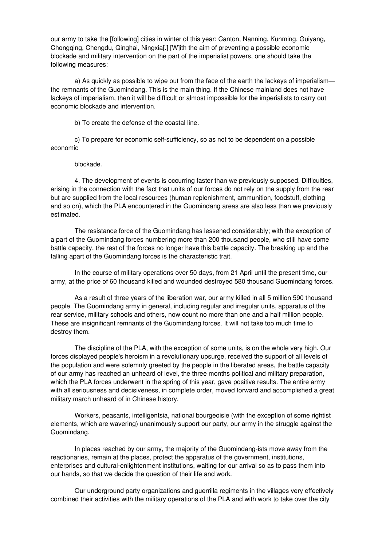our army to take the [following] cities in winter of this year: Canton, Nanning, Kunming, Guiyang, Chongqing, Chengdu, Qinghai, Ningxia[.] [W]ith the aim of preventing a possible economic blockade and military intervention on the part of the imperialist powers, one should take the following measures:

a) As quickly as possible to wipe out from the face of the earth the lackeys of imperialism the remnants of the Guomindang. This is the main thing. If the Chinese mainland does not have lackeys of imperialism, then it will be difficult or almost impossible for the imperialists to carry out economic blockade and intervention.

b) To create the defense of the coastal line.

c) To prepare for economic self-sufficiency, so as not to be dependent on a possible economic

#### blockade.

4. The development of events is occurring faster than we previously supposed. Difficulties, arising in the connection with the fact that units of our forces do not rely on the supply from the rear but are supplied from the local resources (human replenishment, ammunition, foodstuff, clothing and so on), which the PLA encountered in the Guomindang areas are also less than we previously estimated.

The resistance force of the Guomindang has lessened considerably; with the exception of a part of the Guomindang forces numbering more than 200 thousand people, who still have some battle capacity, the rest of the forces no longer have this battle capacity. The breaking up and the falling apart of the Guomindang forces is the characteristic trait.

In the course of military operations over 50 days, from 21 April until the present time, our army, at the price of 60 thousand killed and wounded destroyed 580 thousand Guomindang forces.

As a result of three years of the liberation war, our army killed in all 5 million 590 thousand people. The Guomindang army in general, including regular and irregular units, apparatus of the rear service, military schools and others, now count no more than one and a half million people. These are insignificant remnants of the Guomindang forces. It will not take too much time to destroy them.

The discipline of the PLA, with the exception of some units, is on the whole very high. Our forces displayed people's heroism in a revolutionary upsurge, received the support of all levels of the population and were solemnly greeted by the people in the liberated areas, the battle capacity of our army has reached an unheard of level, the three months political and military preparation, which the PLA forces underwent in the spring of this year, gave positive results. The entire army with all seriousness and decisiveness, in complete order, moved forward and accomplished a great military march unheard of in Chinese history.

Workers, peasants, intelligentsia, national bourgeoisie (with the exception of some rightist elements, which are wavering) unanimously support our party, our army in the struggle against the Guomindang.

In places reached by our army, the majority of the Guomindang-ists move away from the reactionaries, remain at the places, protect the apparatus of the government, institutions, enterprises and cultural-enlightenment institutions, waiting for our arrival so as to pass them into our hands, so that we decide the question of their life and work.

Our underground party organizations and guerrilla regiments in the villages very effectively combined their activities with the military operations of the PLA and with work to take over the city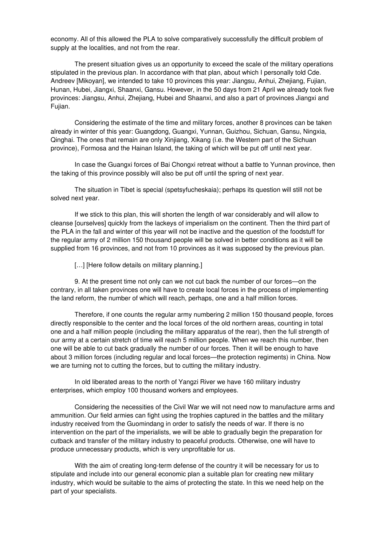economy. All of this allowed the PLA to solve comparatively successfully the difficult problem of supply at the localities, and not from the rear.

The present situation gives us an opportunity to exceed the scale of the military operations stipulated in the previous plan. In accordance with that plan, about which I personally told Cde. Andreev [Mikoyan], we intended to take 10 provinces this year: Jiangsu, Anhui, Zhejiang, Fujian, Hunan, Hubei, Jiangxi, Shaanxi, Gansu. However, in the 50 days from 21 April we already took five provinces: Jiangsu, Anhui, Zhejiang, Hubei and Shaanxi, and also a part of provinces Jiangxi and Fujian.

Considering the estimate of the time and military forces, another 8 provinces can be taken already in winter of this year: Guangdong, Guangxi, Yunnan, Guizhou, Sichuan, Gansu, Ningxia, Qinghai. The ones that remain are only Xinjiang, Xikang (i.e. the Western part of the Sichuan province), Formosa and the Hainan Island, the taking of which will be put off until next year.

In case the Guangxi forces of Bai Chongxi retreat without a battle to Yunnan province, then the taking of this province possibly will also be put off until the spring of next year.

The situation in Tibet is special (spetsyfucheskaia); perhaps its question will still not be solved next year.

If we stick to this plan, this will shorten the length of war considerably and will allow to cleanse [ourselves] quickly from the lackeys of imperialism on the continent. Then the third part of the PLA in the fall and winter of this year will not be inactive and the question of the foodstuff for the regular army of 2 million 150 thousand people will be solved in better conditions as it will be supplied from 16 provinces, and not from 10 provinces as it was supposed by the previous plan.

[...] [Here follow details on military planning.]

9. At the present time not only can we not cut back the number of our forces—on the contrary, in all taken provinces one will have to create local forces in the process of implementing the land reform, the number of which will reach, perhaps, one and a half million forces.

Therefore, if one counts the regular army numbering 2 million 150 thousand people, forces directly responsible to the center and the local forces of the old northern areas, counting in total one and a half million people (including the military apparatus of the rear), then the full strength of our army at a certain stretch of time will reach 5 million people. When we reach this number, then one will be able to cut back gradually the number of our forces. Then it will be enough to have about 3 million forces (including regular and local forces—the protection regiments) in China. Now we are turning not to cutting the forces, but to cutting the military industry.

In old liberated areas to the north of Yangzi River we have 160 military industry enterprises, which employ 100 thousand workers and employees.

Considering the necessities of the Civil War we will not need now to manufacture arms and ammunition. Our field armies can fight using the trophies captured in the battles and the military industry received from the Guomindang in order to satisfy the needs of war. If there is no intervention on the part of the imperialists, we will be able to gradually begin the preparation for cutback and transfer of the military industry to peaceful products. Otherwise, one will have to produce unnecessary products, which is very unprofitable for us.

With the aim of creating long-term defense of the country it will be necessary for us to stipulate and include into our general economic plan a suitable plan for creating new military industry, which would be suitable to the aims of protecting the state. In this we need help on the part of your specialists.